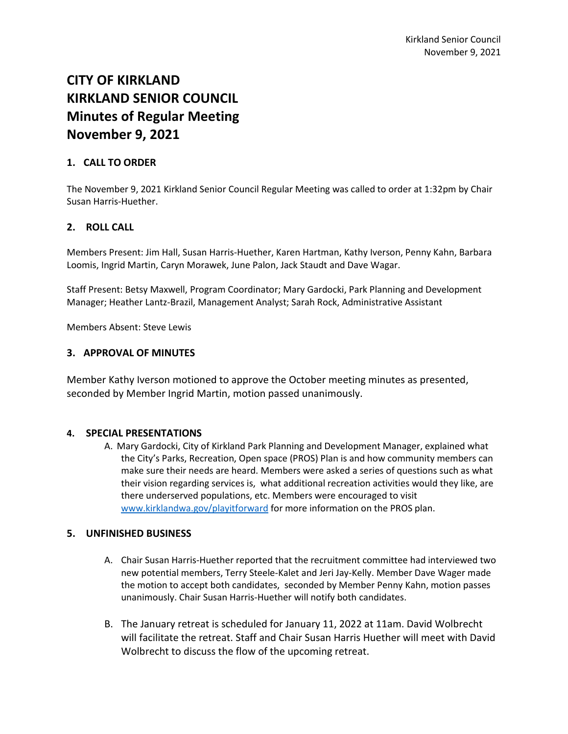# **CITY OF KIRKLAND KIRKLAND SENIOR COUNCIL Minutes of Regular Meeting November 9, 2021**

## **1. CALL TO ORDER**

The November 9, 2021 Kirkland Senior Council Regular Meeting was called to order at 1:32pm by Chair Susan Harris-Huether.

# **2. ROLL CALL**

Members Present: Jim Hall, Susan Harris-Huether, Karen Hartman, Kathy Iverson, Penny Kahn, Barbara Loomis, Ingrid Martin, Caryn Morawek, June Palon, Jack Staudt and Dave Wagar.

Staff Present: Betsy Maxwell, Program Coordinator; Mary Gardocki, Park Planning and Development Manager; Heather Lantz-Brazil, Management Analyst; Sarah Rock, Administrative Assistant

Members Absent: Steve Lewis

#### **3. APPROVAL OF MINUTES**

Member Kathy Iverson motioned to approve the October meeting minutes as presented, seconded by Member Ingrid Martin, motion passed unanimously.

### **4. SPECIAL PRESENTATIONS**

A. Mary Gardocki, City of Kirkland Park Planning and Development Manager, explained what the City's Parks, Recreation, Open space (PROS) Plan is and how community members can make sure their needs are heard. Members were asked a series of questions such as what their vision regarding services is, what additional recreation activities would they like, are there underserved populations, etc. Members were encouraged to visit [www.kirklandwa.gov/playitforward](http://www.kirklandwa.gov/playitforward) for more information on the PROS plan.

#### **5. UNFINISHED BUSINESS**

- A. Chair Susan Harris-Huether reported that the recruitment committee had interviewed two new potential members, Terry Steele-Kalet and Jeri Jay-Kelly. Member Dave Wager made the motion to accept both candidates, seconded by Member Penny Kahn, motion passes unanimously. Chair Susan Harris-Huether will notify both candidates.
- B. The January retreat is scheduled for January 11, 2022 at 11am. David Wolbrecht will facilitate the retreat. Staff and Chair Susan Harris Huether will meet with David Wolbrecht to discuss the flow of the upcoming retreat.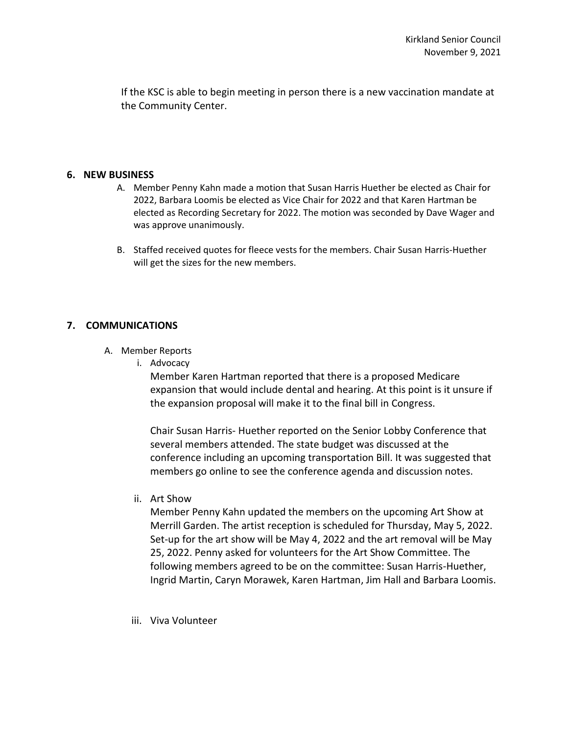If the KSC is able to begin meeting in person there is a new vaccination mandate at the Community Center.

#### **6. NEW BUSINESS**

- A. Member Penny Kahn made a motion that Susan Harris Huether be elected as Chair for 2022, Barbara Loomis be elected as Vice Chair for 2022 and that Karen Hartman be elected as Recording Secretary for 2022. The motion was seconded by Dave Wager and was approve unanimously.
- B. Staffed received quotes for fleece vests for the members. Chair Susan Harris-Huether will get the sizes for the new members.

### **7. COMMUNICATIONS**

- A. Member Reports
	- i. Advocacy

Member Karen Hartman reported that there is a proposed Medicare expansion that would include dental and hearing. At this point is it unsure if the expansion proposal will make it to the final bill in Congress.

Chair Susan Harris- Huether reported on the Senior Lobby Conference that several members attended. The state budget was discussed at the conference including an upcoming transportation Bill. It was suggested that members go online to see the conference agenda and discussion notes.

ii. Art Show

Member Penny Kahn updated the members on the upcoming Art Show at Merrill Garden. The artist reception is scheduled for Thursday, May 5, 2022. Set-up for the art show will be May 4, 2022 and the art removal will be May 25, 2022. Penny asked for volunteers for the Art Show Committee. The following members agreed to be on the committee: Susan Harris-Huether, Ingrid Martin, Caryn Morawek, Karen Hartman, Jim Hall and Barbara Loomis.

iii. Viva Volunteer